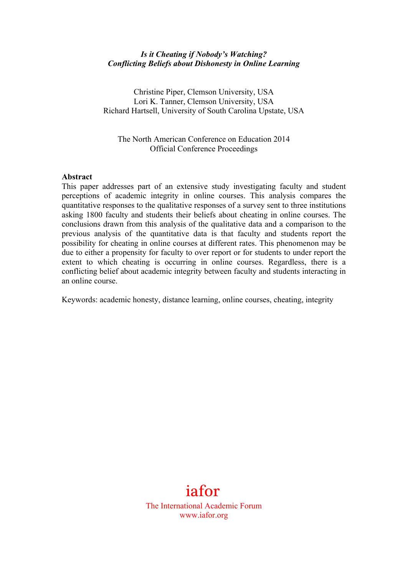## *Is it Cheating if Nobody's Watching? Conflicting Beliefs about Dishonesty in Online Learning*

Christine Piper, Clemson University, USA Lori K. Tanner, Clemson University, USA Richard Hartsell, University of South Carolina Upstate, USA

The North American Conference on Education 2014 Official Conference Proceedings

#### **Abstract**

This paper addresses part of an extensive study investigating faculty and student perceptions of academic integrity in online courses. This analysis compares the quantitative responses to the qualitative responses of a survey sent to three institutions asking 1800 faculty and students their beliefs about cheating in online courses. The conclusions drawn from this analysis of the qualitative data and a comparison to the previous analysis of the quantitative data is that faculty and students report the possibility for cheating in online courses at different rates. This phenomenon may be due to either a propensity for faculty to over report or for students to under report the extent to which cheating is occurring in online courses. Regardless, there is a conflicting belief about academic integrity between faculty and students interacting in an online course.

Keywords: academic honesty, distance learning, online courses, cheating, integrity

# iafor

The International Academic Forum www.iafor.org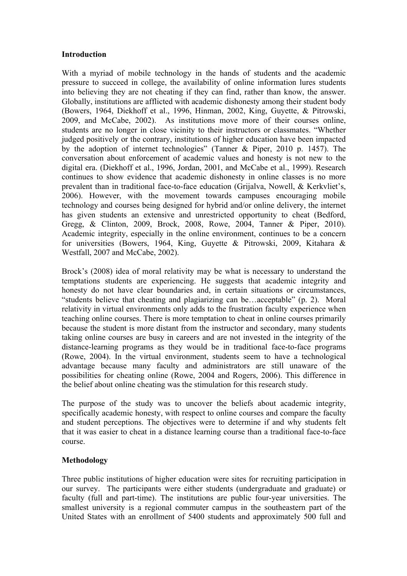## **Introduction**

With a myriad of mobile technology in the hands of students and the academic pressure to succeed in college, the availability of online information lures students into believing they are not cheating if they can find, rather than know, the answer. Globally, institutions are afflicted with academic dishonesty among their student body (Bowers, 1964, Diekhoff et al., 1996, Hinman, 2002, King, Guyette, & Pitrowski, 2009, and McCabe, 2002). As institutions move more of their courses online, students are no longer in close vicinity to their instructors or classmates. "Whether judged positively or the contrary, institutions of higher education have been impacted by the adoption of internet technologies" (Tanner & Piper, 2010 p. 1457). The conversation about enforcement of academic values and honesty is not new to the digital era. (Diekhoff et al., 1996, Jordan, 2001, and McCabe et al., 1999). Research continues to show evidence that academic dishonesty in online classes is no more prevalent than in traditional face-to-face education (Grijalva, Nowell, & Kerkvliet's, 2006). However, with the movement towards campuses encouraging mobile technology and courses being designed for hybrid and/or online delivery, the internet has given students an extensive and unrestricted opportunity to cheat (Bedford, Gregg, & Clinton, 2009, Brock, 2008, Rowe, 2004, Tanner & Piper, 2010). Academic integrity, especially in the online environment, continues to be a concern for universities (Bowers, 1964, King, Guyette & Pitrowski, 2009, Kitahara & Westfall, 2007 and McCabe, 2002).

Brock's (2008) idea of moral relativity may be what is necessary to understand the temptations students are experiencing. He suggests that academic integrity and honesty do not have clear boundaries and, in certain situations or circumstances, "students believe that cheating and plagiarizing can be…acceptable" (p. 2). Moral relativity in virtual environments only adds to the frustration faculty experience when teaching online courses. There is more temptation to cheat in online courses primarily because the student is more distant from the instructor and secondary, many students taking online courses are busy in careers and are not invested in the integrity of the distance-learning programs as they would be in traditional face-to-face programs (Rowe, 2004). In the virtual environment, students seem to have a technological advantage because many faculty and administrators are still unaware of the possibilities for cheating online (Rowe, 2004 and Rogers, 2006). This difference in the belief about online cheating was the stimulation for this research study.

The purpose of the study was to uncover the beliefs about academic integrity, specifically academic honesty, with respect to online courses and compare the faculty and student perceptions. The objectives were to determine if and why students felt that it was easier to cheat in a distance learning course than a traditional face-to-face course.

## **Methodology**

Three public institutions of higher education were sites for recruiting participation in our survey. The participants were either students (undergraduate and graduate) or faculty (full and part-time). The institutions are public four-year universities. The smallest university is a regional commuter campus in the southeastern part of the United States with an enrollment of 5400 students and approximately 500 full and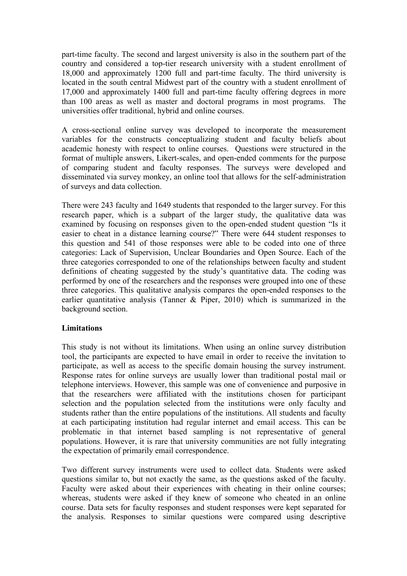part-time faculty. The second and largest university is also in the southern part of the country and considered a top-tier research university with a student enrollment of 18,000 and approximately 1200 full and part-time faculty. The third university is located in the south central Midwest part of the country with a student enrollment of 17,000 and approximately 1400 full and part-time faculty offering degrees in more than 100 areas as well as master and doctoral programs in most programs. The universities offer traditional, hybrid and online courses.

A cross-sectional online survey was developed to incorporate the measurement variables for the constructs conceptualizing student and faculty beliefs about academic honesty with respect to online courses. Questions were structured in the format of multiple answers, Likert-scales, and open-ended comments for the purpose of comparing student and faculty responses. The surveys were developed and disseminated via survey monkey, an online tool that allows for the self-administration of surveys and data collection.

There were 243 faculty and 1649 students that responded to the larger survey. For this research paper, which is a subpart of the larger study, the qualitative data was examined by focusing on responses given to the open-ended student question "Is it easier to cheat in a distance learning course?" There were 644 student responses to this question and 541 of those responses were able to be coded into one of three categories: Lack of Supervision, Unclear Boundaries and Open Source. Each of the three categories corresponded to one of the relationships between faculty and student definitions of cheating suggested by the study's quantitative data. The coding was performed by one of the researchers and the responses were grouped into one of these three categories. This qualitative analysis compares the open-ended responses to the earlier quantitative analysis (Tanner  $\&$  Piper, 2010) which is summarized in the background section.

## **Limitations**

This study is not without its limitations. When using an online survey distribution tool, the participants are expected to have email in order to receive the invitation to participate, as well as access to the specific domain housing the survey instrument. Response rates for online surveys are usually lower than traditional postal mail or telephone interviews. However, this sample was one of convenience and purposive in that the researchers were affiliated with the institutions chosen for participant selection and the population selected from the institutions were only faculty and students rather than the entire populations of the institutions. All students and faculty at each participating institution had regular internet and email access. This can be problematic in that internet based sampling is not representative of general populations. However, it is rare that university communities are not fully integrating the expectation of primarily email correspondence.

Two different survey instruments were used to collect data. Students were asked questions similar to, but not exactly the same, as the questions asked of the faculty. Faculty were asked about their experiences with cheating in their online courses; whereas, students were asked if they knew of someone who cheated in an online course. Data sets for faculty responses and student responses were kept separated for the analysis. Responses to similar questions were compared using descriptive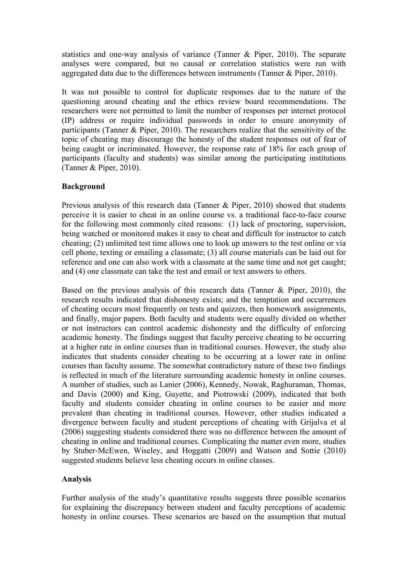statistics and one-way analysis of variance (Tanner & Piper, 2010). The separate analyses were compared, but no causal or correlation statistics were run with aggregated data due to the differences between instruments (Tanner & Piper, 2010).

It was not possible to control for duplicate responses due to the nature of the questioning around cheating and the ethics review board recommendations. The researchers were not permitted to limit the number of responses per internet protocol (IP) address or require individual passwords in order to ensure anonymity of participants (Tanner & Piper, 2010). The researchers realize that the sensitivity of the topic of cheating may discourage the honesty of the student responses out of fear of being caught or incriminated. However, the response rate of 18% for each group of participants (faculty and students) was similar among the participating institutions (Tanner & Piper, 2010).

## **Background**

Previous analysis of this research data (Tanner & Piper, 2010) showed that students perceive it is easier to cheat in an online course vs. a traditional face-to-face course for the following most commonly cited reasons: (1) lack of proctoring, supervision, being watched or monitored makes it easy to cheat and difficult for instructor to catch cheating; (2) unlimited test time allows one to look up answers to the test online or via cell phone, texting or emailing a classmate; (3) all course materials can be laid out for reference and one can also work with a classmate at the same time and not get caught; and (4) one classmate can take the test and email or text answers to others.

Based on the previous analysis of this research data (Tanner & Piper, 2010), the research results indicated that dishonesty exists; and the temptation and occurrences of cheating occurs most frequently on tests and quizzes, then homework assignments, and finally, major papers. Both faculty and students were equally divided on whether or not instructors can control academic dishonesty and the difficulty of enforcing academic honesty. The findings suggest that faculty perceive cheating to be occurring at a higher rate in online courses than in traditional courses. However, the study also indicates that students consider cheating to be occurring at a lower rate in online courses than faculty assume. The somewhat contradictory nature of these two findings is reflected in much of the literature surrounding academic honesty in online courses. A number of studies, such as Lanier (2006), Kennedy, Nowak, Raghuraman, Thomas, and Davis (2000) and King, Guyette, and Piotrowski (2009), indicated that both faculty and students consider cheating in online courses to be easier and more prevalent than cheating in traditional courses. However, other studies indicated a divergence between faculty and student perceptions of cheating with Grijalva et al (2006) suggesting students considered there was no difference between the amount of cheating in online and traditional courses. Complicating the matter even more, studies by Stuber-McEwen, Wiseley, and Hoggatti (2009) and Watson and Sottie (2010) suggested students believe less cheating occurs in online classes.

### **Analysis**

Further analysis of the study's quantitative results suggests three possible scenarios for explaining the discrepancy between student and faculty perceptions of academic honesty in online courses. These scenarios are based on the assumption that mutual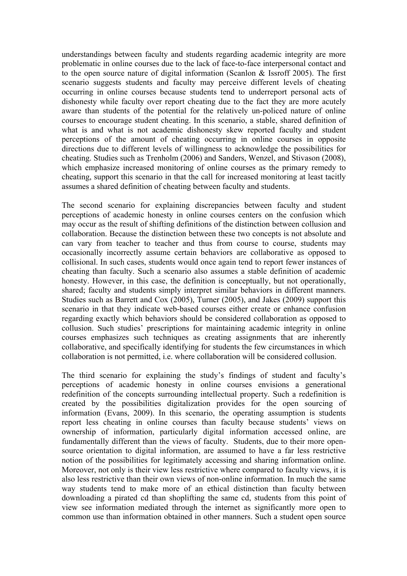understandings between faculty and students regarding academic integrity are more problematic in online courses due to the lack of face-to-face interpersonal contact and to the open source nature of digital information (Scanlon & Issroff 2005). The first scenario suggests students and faculty may perceive different levels of cheating occurring in online courses because students tend to underreport personal acts of dishonesty while faculty over report cheating due to the fact they are more acutely aware than students of the potential for the relatively un-policed nature of online courses to encourage student cheating. In this scenario, a stable, shared definition of what is and what is not academic dishonesty skew reported faculty and student perceptions of the amount of cheating occurring in online courses in opposite directions due to different levels of willingness to acknowledge the possibilities for cheating. Studies such as Trenholm (2006) and Sanders, Wenzel, and Stivason (2008), which emphasize increased monitoring of online courses as the primary remedy to cheating, support this scenario in that the call for increased monitoring at least tacitly assumes a shared definition of cheating between faculty and students.

The second scenario for explaining discrepancies between faculty and student perceptions of academic honesty in online courses centers on the confusion which may occur as the result of shifting definitions of the distinction between collusion and collaboration. Because the distinction between these two concepts is not absolute and can vary from teacher to teacher and thus from course to course, students may occasionally incorrectly assume certain behaviors are collaborative as opposed to collisional. In such cases, students would once again tend to report fewer instances of cheating than faculty. Such a scenario also assumes a stable definition of academic honesty. However, in this case, the definition is conceptually, but not operationally, shared; faculty and students simply interpret similar behaviors in different manners. Studies such as Barrett and Cox (2005), Turner (2005), and Jakes (2009) support this scenario in that they indicate web-based courses either create or enhance confusion regarding exactly which behaviors should be considered collaboration as opposed to collusion. Such studies' prescriptions for maintaining academic integrity in online courses emphasizes such techniques as creating assignments that are inherently collaborative, and specifically identifying for students the few circumstances in which collaboration is not permitted, i.e. where collaboration will be considered collusion.

The third scenario for explaining the study's findings of student and faculty's perceptions of academic honesty in online courses envisions a generational redefinition of the concepts surrounding intellectual property. Such a redefinition is created by the possibilities digitalization provides for the open sourcing of information (Evans, 2009). In this scenario, the operating assumption is students report less cheating in online courses than faculty because students' views on ownership of information, particularly digital information accessed online, are fundamentally different than the views of faculty. Students, due to their more opensource orientation to digital information, are assumed to have a far less restrictive notion of the possibilities for legitimately accessing and sharing information online. Moreover, not only is their view less restrictive where compared to faculty views, it is also less restrictive than their own views of non-online information. In much the same way students tend to make more of an ethical distinction than faculty between downloading a pirated cd than shoplifting the same cd, students from this point of view see information mediated through the internet as significantly more open to common use than information obtained in other manners. Such a student open source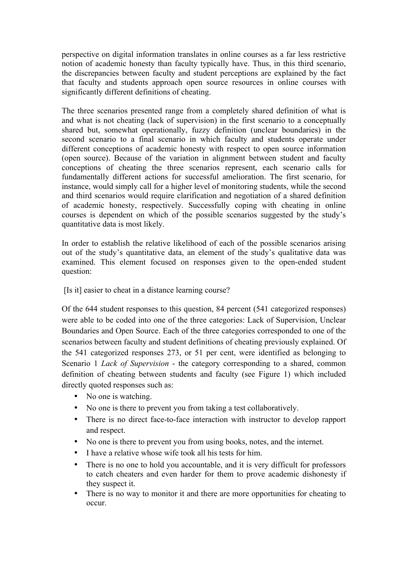perspective on digital information translates in online courses as a far less restrictive notion of academic honesty than faculty typically have. Thus, in this third scenario, the discrepancies between faculty and student perceptions are explained by the fact that faculty and students approach open source resources in online courses with significantly different definitions of cheating.

The three scenarios presented range from a completely shared definition of what is and what is not cheating (lack of supervision) in the first scenario to a conceptually shared but, somewhat operationally, fuzzy definition (unclear boundaries) in the second scenario to a final scenario in which faculty and students operate under different conceptions of academic honesty with respect to open source information (open source). Because of the variation in alignment between student and faculty conceptions of cheating the three scenarios represent, each scenario calls for fundamentally different actions for successful amelioration. The first scenario, for instance, would simply call for a higher level of monitoring students, while the second and third scenarios would require clarification and negotiation of a shared definition of academic honesty, respectively. Successfully coping with cheating in online courses is dependent on which of the possible scenarios suggested by the study's quantitative data is most likely.

In order to establish the relative likelihood of each of the possible scenarios arising out of the study's quantitative data, an element of the study's qualitative data was examined. This element focused on responses given to the open-ended student question:

[Is it] easier to cheat in a distance learning course?

Of the 644 student responses to this question, 84 percent (541 categorized responses) were able to be coded into one of the three categories: Lack of Supervision, Unclear Boundaries and Open Source. Each of the three categories corresponded to one of the scenarios between faculty and student definitions of cheating previously explained. Of the 541 categorized responses 273, or 51 per cent, were identified as belonging to Scenario 1 *Lack of Supervision* - the category corresponding to a shared, common definition of cheating between students and faculty (see Figure 1) which included directly quoted responses such as:

- No one is watching.
- No one is there to prevent you from taking a test collaboratively.
- There is no direct face-to-face interaction with instructor to develop rapport and respect.
- No one is there to prevent you from using books, notes, and the internet.
- I have a relative whose wife took all his tests for him.
- There is no one to hold you accountable, and it is very difficult for professors to catch cheaters and even harder for them to prove academic dishonesty if they suspect it.
- There is no way to monitor it and there are more opportunities for cheating to occur.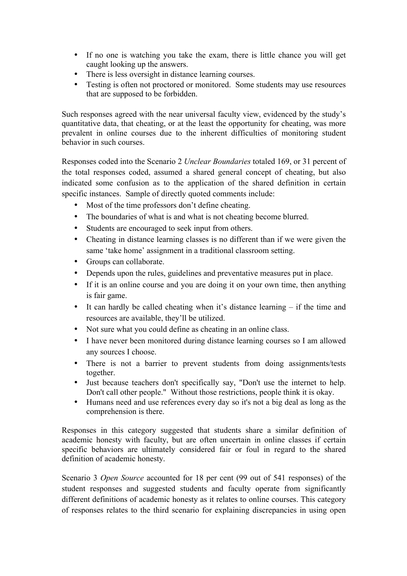- If no one is watching you take the exam, there is little chance you will get caught looking up the answers.
- There is less oversight in distance learning courses.
- Testing is often not proctored or monitored. Some students may use resources that are supposed to be forbidden.

Such responses agreed with the near universal faculty view, evidenced by the study's quantitative data, that cheating, or at the least the opportunity for cheating, was more prevalent in online courses due to the inherent difficulties of monitoring student behavior in such courses.

Responses coded into the Scenario 2 *Unclear Boundaries* totaled 169, or 31 percent of the total responses coded, assumed a shared general concept of cheating, but also indicated some confusion as to the application of the shared definition in certain specific instances. Sample of directly quoted comments include:

- Most of the time professors don't define cheating.
- The boundaries of what is and what is not cheating become blurred.
- Students are encouraged to seek input from others.
- Cheating in distance learning classes is no different than if we were given the same 'take home' assignment in a traditional classroom setting.
- Groups can collaborate.
- Depends upon the rules, guidelines and preventative measures put in place.
- If it is an online course and you are doing it on your own time, then anything is fair game.
- It can hardly be called cheating when it's distance learning if the time and resources are available, they'll be utilized.
- Not sure what you could define as cheating in an online class.
- I have never been monitored during distance learning courses so I am allowed any sources I choose.
- There is not a barrier to prevent students from doing assignments/tests together.
- Just because teachers don't specifically say, "Don't use the internet to help. Don't call other people." Without those restrictions, people think it is okay.
- Humans need and use references every day so it's not a big deal as long as the comprehension is there.

Responses in this category suggested that students share a similar definition of academic honesty with faculty, but are often uncertain in online classes if certain specific behaviors are ultimately considered fair or foul in regard to the shared definition of academic honesty.

Scenario 3 *Open Source* accounted for 18 per cent (99 out of 541 responses) of the student responses and suggested students and faculty operate from significantly different definitions of academic honesty as it relates to online courses. This category of responses relates to the third scenario for explaining discrepancies in using open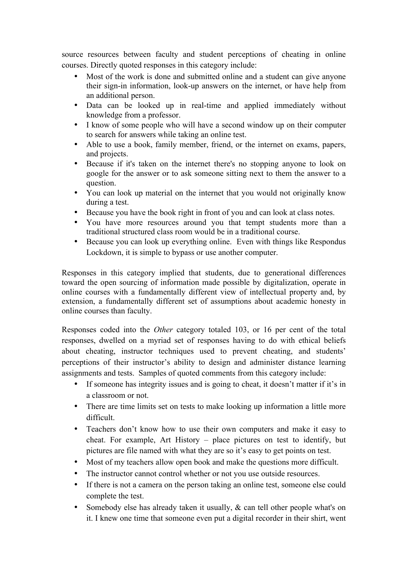source resources between faculty and student perceptions of cheating in online courses. Directly quoted responses in this category include:

- Most of the work is done and submitted online and a student can give anyone their sign-in information, look-up answers on the internet, or have help from an additional person.
- Data can be looked up in real-time and applied immediately without knowledge from a professor.
- I know of some people who will have a second window up on their computer to search for answers while taking an online test.
- Able to use a book, family member, friend, or the internet on exams, papers, and projects.
- Because if it's taken on the internet there's no stopping anyone to look on google for the answer or to ask someone sitting next to them the answer to a question.
- You can look up material on the internet that you would not originally know during a test.
- 
- Because you have the book right in front of you and can look at class notes.<br>• You have more resources around you that tempt students more than • You have more resources around you that tempt students more than a traditional structured class room would be in a traditional course.
- Because you can look up everything online. Even with things like Respondus Lockdown, it is simple to bypass or use another computer.

Responses in this category implied that students, due to generational differences toward the open sourcing of information made possible by digitalization, operate in online courses with a fundamentally different view of intellectual property and, by extension, a fundamentally different set of assumptions about academic honesty in online courses than faculty.

Responses coded into the *Other* category totaled 103, or 16 per cent of the total responses, dwelled on a myriad set of responses having to do with ethical beliefs about cheating, instructor techniques used to prevent cheating, and students' perceptions of their instructor's ability to design and administer distance learning assignments and tests. Samples of quoted comments from this category include:

- If someone has integrity issues and is going to cheat, it doesn't matter if it's in a classroom or not.
- There are time limits set on tests to make looking up information a little more difficult.
- Teachers don't know how to use their own computers and make it easy to cheat. For example, Art History – place pictures on test to identify, but pictures are file named with what they are so it's easy to get points on test.
- Most of my teachers allow open book and make the questions more difficult.
- The instructor cannot control whether or not you use outside resources.
- If there is not a camera on the person taking an online test, someone else could complete the test.
- Somebody else has already taken it usually, & can tell other people what's on it. I knew one time that someone even put a digital recorder in their shirt, went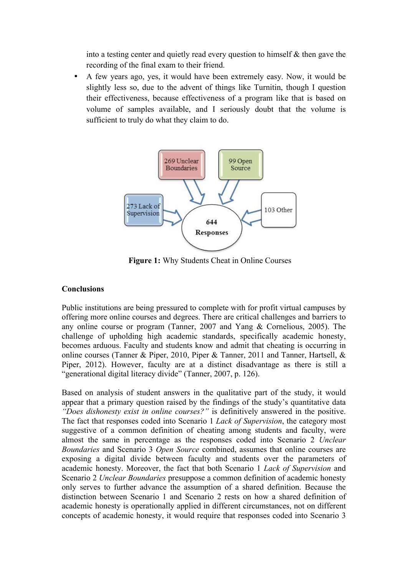into a testing center and quietly read every question to himself & then gave the recording of the final exam to their friend.

• A few years ago, yes, it would have been extremely easy. Now, it would be slightly less so, due to the advent of things like Turnitin, though I question their effectiveness, because effectiveness of a program like that is based on volume of samples available, and I seriously doubt that the volume is sufficient to truly do what they claim to do.



**Figure 1:** Why Students Cheat in Online Courses

## **Conclusions**

Public institutions are being pressured to complete with for profit virtual campuses by offering more online courses and degrees. There are critical challenges and barriers to any online course or program (Tanner, 2007 and Yang & Cornelious, 2005). The challenge of upholding high academic standards, specifically academic honesty, becomes arduous. Faculty and students know and admit that cheating is occurring in online courses (Tanner & Piper, 2010, Piper & Tanner, 2011 and Tanner, Hartsell, & Piper, 2012). However, faculty are at a distinct disadvantage as there is still a "generational digital literacy divide" (Tanner, 2007, p. 126).

Based on analysis of student answers in the qualitative part of the study, it would appear that a primary question raised by the findings of the study's quantitative data *"Does dishonesty exist in online courses?"* is definitively answered in the positive. The fact that responses coded into Scenario 1 *Lack of Supervision*, the category most suggestive of a common definition of cheating among students and faculty, were almost the same in percentage as the responses coded into Scenario 2 *Unclear Boundaries* and Scenario 3 *Open Source* combined, assumes that online courses are exposing a digital divide between faculty and students over the parameters of academic honesty. Moreover, the fact that both Scenario 1 *Lack of Supervision* and Scenario 2 *Unclear Boundaries* presuppose a common definition of academic honesty only serves to further advance the assumption of a shared definition. Because the distinction between Scenario 1 and Scenario 2 rests on how a shared definition of academic honesty is operationally applied in different circumstances, not on different concepts of academic honesty, it would require that responses coded into Scenario 3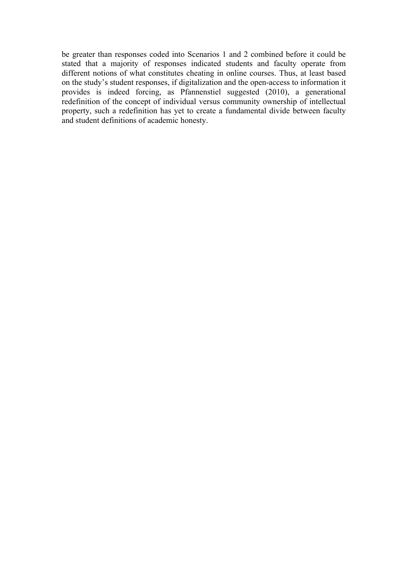be greater than responses coded into Scenarios 1 and 2 combined before it could be stated that a majority of responses indicated students and faculty operate from different notions of what constitutes cheating in online courses. Thus, at least based on the study's student responses, if digitalization and the open-access to information it provides is indeed forcing, as Pfannenstiel suggested (2010), a generational redefinition of the concept of individual versus community ownership of intellectual property, such a redefinition has yet to create a fundamental divide between faculty and student definitions of academic honesty.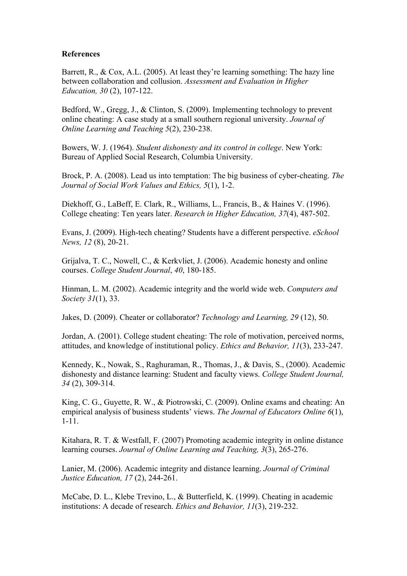#### **References**

Barrett, R., & Cox, A.L. (2005). At least they're learning something: The hazy line between collaboration and collusion. *Assessment and Evaluation in Higher Education, 30* (2), 107-122.

Bedford, W., Gregg, J., & Clinton, S. (2009). Implementing technology to prevent online cheating: A case study at a small southern regional university. *Journal of Online Learning and Teaching 5*(2), 230-238.

Bowers, W. J. (1964). *Student dishonesty and its control in college*. New York: Bureau of Applied Social Research, Columbia University.

Brock, P. A. (2008). Lead us into temptation: The big business of cyber-cheating. *The Journal of Social Work Values and Ethics, 5*(1), 1-2.

Diekhoff, G., LaBeff, E. Clark, R., Williams, L., Francis, B., & Haines V. (1996). College cheating: Ten years later. *Research in Higher Education, 37*(4), 487-502.

Evans, J. (2009). High-tech cheating? Students have a different perspective. *eSchool News, 12* (8), 20-21.

Grijalva, T. C., Nowell, C., & Kerkvliet, J. (2006). Academic honesty and online courses. *College Student Journal*, *40*, 180-185.

Hinman, L. M. (2002). Academic integrity and the world wide web. *Computers and Society 31*(1), 33.

Jakes, D. (2009). Cheater or collaborator? *Technology and Learning, 29* (12), 50.

Jordan, A. (2001). College student cheating: The role of motivation, perceived norms, attitudes, and knowledge of institutional policy. *Ethics and Behavior, 11*(3), 233-247.

Kennedy, K., Nowak, S., Raghuraman, R., Thomas, J., & Davis, S., (2000). Academic dishonesty and distance learning: Student and faculty views. *College Student Journal, 34* (2), 309-314.

King, C. G., Guyette, R. W., & Piotrowski, C. (2009). Online exams and cheating: An empirical analysis of business students' views. *The Journal of Educators Online 6*(1), 1-11.

Kitahara, R. T. & Westfall, F. (2007) Promoting academic integrity in online distance learning courses. *Journal of Online Learning and Teaching, 3*(3), 265-276.

Lanier, M. (2006). Academic integrity and distance learning. *Journal of Criminal Justice Education, 17* (2), 244-261.

McCabe, D. L., Klebe Trevino, L., & Butterfield, K. (1999). Cheating in academic institutions: A decade of research. *Ethics and Behavior, 11*(3), 219-232.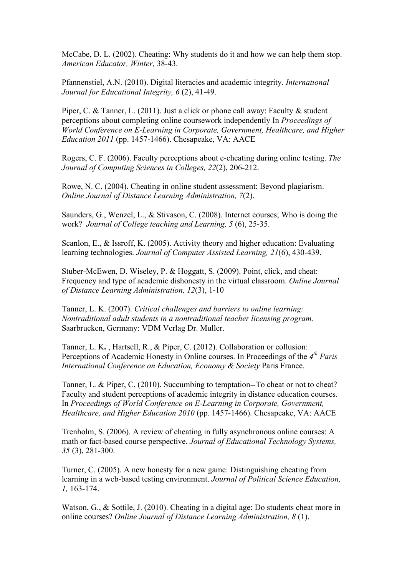McCabe, D. L. (2002). Cheating: Why students do it and how we can help them stop. *American Educator, Winter,* 38-43.

Pfannenstiel, A.N. (2010). Digital literacies and academic integrity. *International Journal for Educational Integrity, 6* (2), 41-49.

Piper, C. & Tanner, L. (2011). Just a click or phone call away: Faculty & student perceptions about completing online coursework independently In *Proceedings of World Conference on E-Learning in Corporate, Government, Healthcare, and Higher Education 2011* (pp. 1457-1466). Chesapeake, VA: AACE

Rogers, C. F. (2006). Faculty perceptions about e-cheating during online testing. *The Journal of Computing Sciences in Colleges, 22*(2), 206-212.

Rowe, N. C. (2004). Cheating in online student assessment: Beyond plagiarism. *Online Journal of Distance Learning Administration, 7*(2).

Saunders, G., Wenzel, L., & Stivason, C. (2008). Internet courses; Who is doing the work? *Journal of College teaching and Learning, 5* (6), 25-35.

Scanlon, E., & Issroff, K. (2005). Activity theory and higher education: Evaluating learning technologies. *Journal of Computer Assisted Learning, 21*(6), 430-439.

Stuber-McEwen, D. Wiseley, P. & Hoggatt, S. (2009). Point, click, and cheat: Frequency and type of academic dishonesty in the virtual classroom. *Online Journal of Distance Learning Administration, 12*(3), 1-10

Tanner, L. K. (2007). *Critical challenges and barriers to online learning: Nontraditional adult students in a nontraditional teacher licensing program.* Saarbrucken, Germany: VDM Verlag Dr. Muller.

Tanner, L. K**.** , Hartsell, R., & Piper, C. (2012). Collaboration or collusion: Perceptions of Academic Honesty in Online courses. In Proceedings of the *4th Paris International Conference on Education, Economy & Society* Paris France.

Tanner, L. & Piper, C. (2010). Succumbing to temptation--To cheat or not to cheat? Faculty and student perceptions of academic integrity in distance education courses. In *Proceedings of World Conference on E-Learning in Corporate, Government, Healthcare, and Higher Education 2010* (pp. 1457-1466). Chesapeake, VA: AACE

Trenholm, S. (2006). A review of cheating in fully asynchronous online courses: A math or fact-based course perspective. *Journal of Educational Technology Systems, 35* (3), 281-300.

Turner, C. (2005). A new honesty for a new game: Distinguishing cheating from learning in a web-based testing environment. *Journal of Political Science Education, 1,* 163-174.

Watson, G., & Sottile, J. (2010). Cheating in a digital age: Do students cheat more in online courses? *Online Journal of Distance Learning Administration, 8* (1).